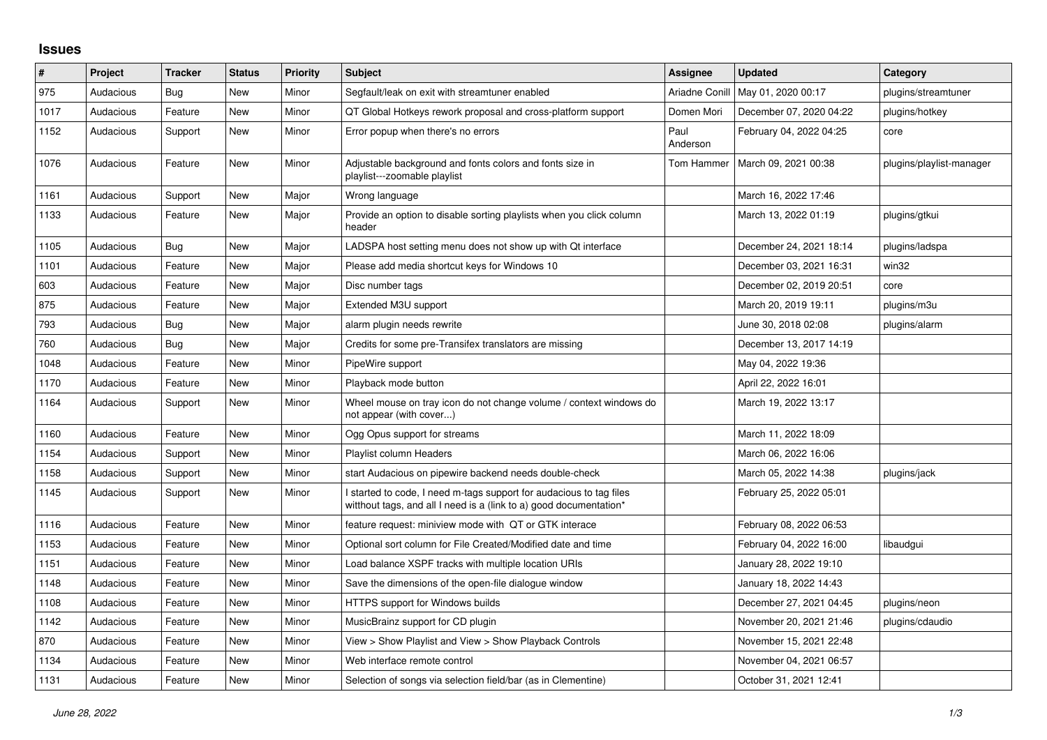## **Issues**

| $\sharp$ | Project   | <b>Tracker</b> | <b>Status</b> | <b>Priority</b> | <b>Subject</b>                                                                                                                            | <b>Assignee</b>       | <b>Updated</b>          | Category                 |
|----------|-----------|----------------|---------------|-----------------|-------------------------------------------------------------------------------------------------------------------------------------------|-----------------------|-------------------------|--------------------------|
| 975      | Audacious | Bug            | <b>New</b>    | Minor           | Segfault/leak on exit with streamtuner enabled                                                                                            | <b>Ariadne Conill</b> | May 01, 2020 00:17      | plugins/streamtuner      |
| 1017     | Audacious | Feature        | New           | Minor           | QT Global Hotkeys rework proposal and cross-platform support                                                                              | Domen Mori            | December 07, 2020 04:22 | plugins/hotkey           |
| 1152     | Audacious | Support        | <b>New</b>    | Minor           | Error popup when there's no errors                                                                                                        | Paul<br>Anderson      | February 04, 2022 04:25 | core                     |
| 1076     | Audacious | Feature        | New           | Minor           | Adjustable background and fonts colors and fonts size in<br>playlist---zoomable playlist                                                  | Tom Hammer            | March 09, 2021 00:38    | plugins/playlist-manager |
| 1161     | Audacious | Support        | New           | Major           | Wrong language                                                                                                                            |                       | March 16, 2022 17:46    |                          |
| 1133     | Audacious | Feature        | <b>New</b>    | Major           | Provide an option to disable sorting playlists when you click column<br>header                                                            |                       | March 13, 2022 01:19    | plugins/gtkui            |
| 1105     | Audacious | <b>Bug</b>     | <b>New</b>    | Major           | LADSPA host setting menu does not show up with Qt interface                                                                               |                       | December 24, 2021 18:14 | plugins/ladspa           |
| 1101     | Audacious | Feature        | <b>New</b>    | Major           | Please add media shortcut keys for Windows 10                                                                                             |                       | December 03, 2021 16:31 | win32                    |
| 603      | Audacious | Feature        | New           | Major           | Disc number tags                                                                                                                          |                       | December 02, 2019 20:51 | core                     |
| 875      | Audacious | Feature        | New           | Major           | Extended M3U support                                                                                                                      |                       | March 20, 2019 19:11    | plugins/m3u              |
| 793      | Audacious | <b>Bug</b>     | New           | Major           | alarm plugin needs rewrite                                                                                                                |                       | June 30, 2018 02:08     | plugins/alarm            |
| 760      | Audacious | Bug            | New           | Major           | Credits for some pre-Transifex translators are missing                                                                                    |                       | December 13, 2017 14:19 |                          |
| 1048     | Audacious | Feature        | <b>New</b>    | Minor           | PipeWire support                                                                                                                          |                       | May 04, 2022 19:36      |                          |
| 1170     | Audacious | Feature        | New           | Minor           | Playback mode button                                                                                                                      |                       | April 22, 2022 16:01    |                          |
| 1164     | Audacious | Support        | New           | Minor           | Wheel mouse on tray icon do not change volume / context windows do<br>not appear (with cover)                                             |                       | March 19, 2022 13:17    |                          |
| 1160     | Audacious | Feature        | <b>New</b>    | Minor           | Ogg Opus support for streams                                                                                                              |                       | March 11, 2022 18:09    |                          |
| 1154     | Audacious | Support        | New           | Minor           | Playlist column Headers                                                                                                                   |                       | March 06, 2022 16:06    |                          |
| 1158     | Audacious | Support        | <b>New</b>    | Minor           | start Audacious on pipewire backend needs double-check                                                                                    |                       | March 05, 2022 14:38    | plugins/jack             |
| 1145     | Audacious | Support        | New           | Minor           | I started to code, I need m-tags support for audacious to tag files<br>witthout tags, and all I need is a (link to a) good documentation* |                       | February 25, 2022 05:01 |                          |
| 1116     | Audacious | Feature        | New           | Minor           | feature request: miniview mode with QT or GTK interace                                                                                    |                       | February 08, 2022 06:53 |                          |
| 1153     | Audacious | Feature        | <b>New</b>    | Minor           | Optional sort column for File Created/Modified date and time                                                                              |                       | February 04, 2022 16:00 | libaudgui                |
| 1151     | Audacious | Feature        | <b>New</b>    | Minor           | Load balance XSPF tracks with multiple location URIs                                                                                      |                       | January 28, 2022 19:10  |                          |
| 1148     | Audacious | Feature        | New           | Minor           | Save the dimensions of the open-file dialogue window                                                                                      |                       | January 18, 2022 14:43  |                          |
| 1108     | Audacious | Feature        | New           | Minor           | HTTPS support for Windows builds                                                                                                          |                       | December 27, 2021 04:45 | plugins/neon             |
| 1142     | Audacious | Feature        | <b>New</b>    | Minor           | MusicBrainz support for CD plugin                                                                                                         |                       | November 20, 2021 21:46 | plugins/cdaudio          |
| 870      | Audacious | Feature        | New           | Minor           | View > Show Playlist and View > Show Playback Controls                                                                                    |                       | November 15, 2021 22:48 |                          |
| 1134     | Audacious | Feature        | <b>New</b>    | Minor           | Web interface remote control                                                                                                              |                       | November 04, 2021 06:57 |                          |
| 1131     | Audacious | Feature        | New           | Minor           | Selection of songs via selection field/bar (as in Clementine)                                                                             |                       | October 31, 2021 12:41  |                          |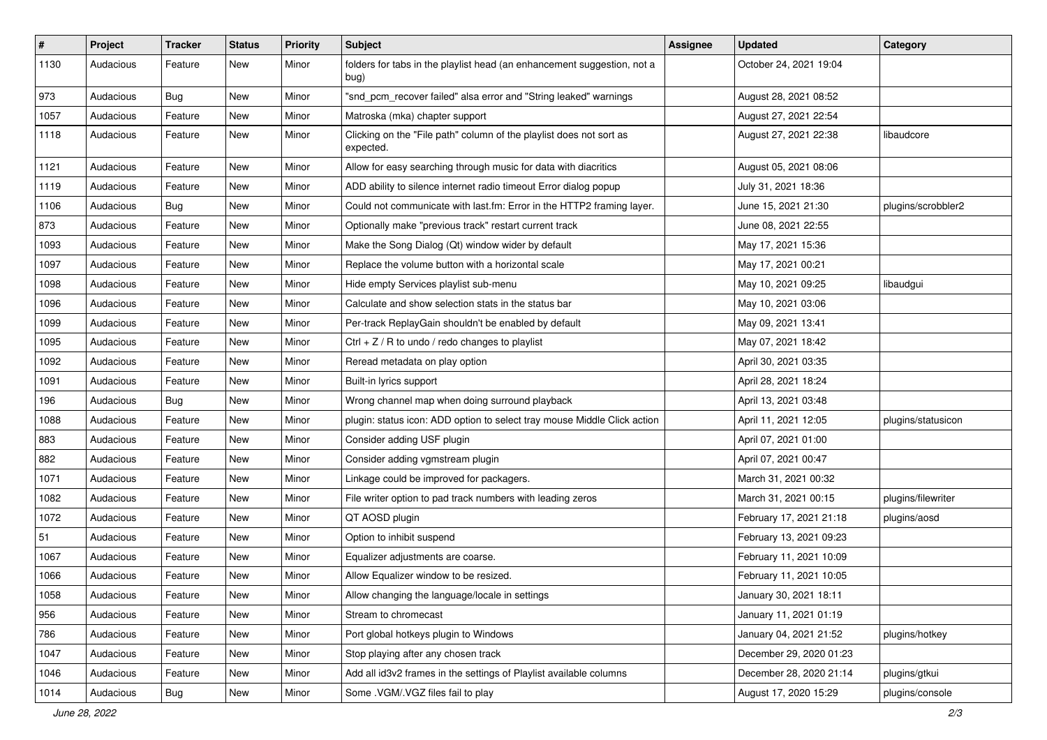| $\vert$ # | Project   | Tracker    | <b>Status</b> | <b>Priority</b> | <b>Subject</b>                                                                   | <b>Assignee</b> | <b>Updated</b>          | Category           |
|-----------|-----------|------------|---------------|-----------------|----------------------------------------------------------------------------------|-----------------|-------------------------|--------------------|
| 1130      | Audacious | Feature    | New           | Minor           | folders for tabs in the playlist head (an enhancement suggestion, not a<br>bug)  |                 | October 24, 2021 19:04  |                    |
| 973       | Audacious | Bug        | New           | Minor           | "snd_pcm_recover failed" alsa error and "String leaked" warnings                 |                 | August 28, 2021 08:52   |                    |
| 1057      | Audacious | Feature    | New           | Minor           | Matroska (mka) chapter support                                                   |                 | August 27, 2021 22:54   |                    |
| 1118      | Audacious | Feature    | New           | Minor           | Clicking on the "File path" column of the playlist does not sort as<br>expected. |                 | August 27, 2021 22:38   | libaudcore         |
| 1121      | Audacious | Feature    | New           | Minor           | Allow for easy searching through music for data with diacritics                  |                 | August 05, 2021 08:06   |                    |
| 1119      | Audacious | Feature    | New           | Minor           | ADD ability to silence internet radio timeout Error dialog popup                 |                 | July 31, 2021 18:36     |                    |
| 1106      | Audacious | <b>Bug</b> | New           | Minor           | Could not communicate with last.fm: Error in the HTTP2 framing layer.            |                 | June 15, 2021 21:30     | plugins/scrobbler2 |
| 873       | Audacious | Feature    | New           | Minor           | Optionally make "previous track" restart current track                           |                 | June 08, 2021 22:55     |                    |
| 1093      | Audacious | Feature    | New           | Minor           | Make the Song Dialog (Qt) window wider by default                                |                 | May 17, 2021 15:36      |                    |
| 1097      | Audacious | Feature    | New           | Minor           | Replace the volume button with a horizontal scale                                |                 | May 17, 2021 00:21      |                    |
| 1098      | Audacious | Feature    | New           | Minor           | Hide empty Services playlist sub-menu                                            |                 | May 10, 2021 09:25      | libaudgui          |
| 1096      | Audacious | Feature    | New           | Minor           | Calculate and show selection stats in the status bar                             |                 | May 10, 2021 03:06      |                    |
| 1099      | Audacious | Feature    | <b>New</b>    | Minor           | Per-track ReplayGain shouldn't be enabled by default                             |                 | May 09, 2021 13:41      |                    |
| 1095      | Audacious | Feature    | New           | Minor           | Ctrl $+$ Z / R to undo / redo changes to playlist                                |                 | May 07, 2021 18:42      |                    |
| 1092      | Audacious | Feature    | New           | Minor           | Reread metadata on play option                                                   |                 | April 30, 2021 03:35    |                    |
| 1091      | Audacious | Feature    | New           | Minor           | Built-in lyrics support                                                          |                 | April 28, 2021 18:24    |                    |
| 196       | Audacious | <b>Bug</b> | New           | Minor           | Wrong channel map when doing surround playback                                   |                 | April 13, 2021 03:48    |                    |
| 1088      | Audacious | Feature    | New           | Minor           | plugin: status icon: ADD option to select tray mouse Middle Click action         |                 | April 11, 2021 12:05    | plugins/statusicon |
| 883       | Audacious | Feature    | New           | Minor           | Consider adding USF plugin                                                       |                 | April 07, 2021 01:00    |                    |
| 882       | Audacious | Feature    | New           | Minor           | Consider adding vgmstream plugin                                                 |                 | April 07, 2021 00:47    |                    |
| 1071      | Audacious | Feature    | New           | Minor           | Linkage could be improved for packagers.                                         |                 | March 31, 2021 00:32    |                    |
| 1082      | Audacious | Feature    | New           | Minor           | File writer option to pad track numbers with leading zeros                       |                 | March 31, 2021 00:15    | plugins/filewriter |
| 1072      | Audacious | Feature    | New           | Minor           | QT AOSD plugin                                                                   |                 | February 17, 2021 21:18 | plugins/aosd       |
| 51        | Audacious | Feature    | New           | Minor           | Option to inhibit suspend                                                        |                 | February 13, 2021 09:23 |                    |
| 1067      | Audacious | Feature    | New           | Minor           | Equalizer adjustments are coarse.                                                |                 | February 11, 2021 10:09 |                    |
| 1066      | Audacious | Feature    | New           | Minor           | Allow Equalizer window to be resized.                                            |                 | February 11, 2021 10:05 |                    |
| 1058      | Audacious | Feature    | New           | Minor           | Allow changing the language/locale in settings                                   |                 | January 30, 2021 18:11  |                    |
| 956       | Audacious | Feature    | New           | Minor           | Stream to chromecast                                                             |                 | January 11, 2021 01:19  |                    |
| 786       | Audacious | Feature    | New           | Minor           | Port global hotkeys plugin to Windows                                            |                 | January 04, 2021 21:52  | plugins/hotkey     |
| 1047      | Audacious | Feature    | New           | Minor           | Stop playing after any chosen track                                              |                 | December 29, 2020 01:23 |                    |
| 1046      | Audacious | Feature    | New           | Minor           | Add all id3v2 frames in the settings of Playlist available columns               |                 | December 28, 2020 21:14 | plugins/gtkui      |
| 1014      | Audacious | Bug        | New           | Minor           | Some .VGM/.VGZ files fail to play                                                |                 | August 17, 2020 15:29   | plugins/console    |